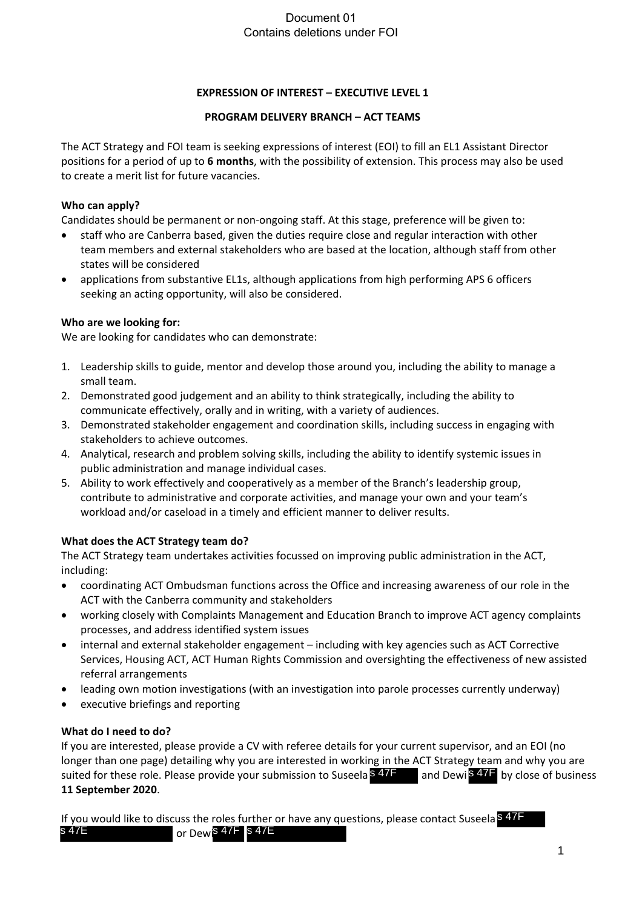## Document 01 Contains deletions under FOI

## **EXPRESSION OF INTEREST – EXECUTIVE LEVEL 1**

#### **PROGRAM DELIVERY BRANCH – ACT TEAMS**

The ACT Strategy and FOI team is seeking expressions of interest (EOI) to fill an EL1 Assistant Director positions for a period of up to **6 months**, with the possibility of extension. This process may also be used to create a merit list for future vacancies.

## **Who can apply?**

Candidates should be permanent or non-ongoing staff. At this stage, preference will be given to:

- staff who are Canberra based, given the duties require close and regular interaction with other team members and external stakeholders who are based at the location, although staff from other states will be considered
- applications from substantive EL1s, although applications from high performing APS 6 officers seeking an acting opportunity, will also be considered.

## **Who are we looking for:**

We are looking for candidates who can demonstrate:

- 1. Leadership skills to guide, mentor and develop those around you, including the ability to manage a small team.
- 2. Demonstrated good judgement and an ability to think strategically, including the ability to communicate effectively, orally and in writing, with a variety of audiences.
- 3. Demonstrated stakeholder engagement and coordination skills, including success in engaging with stakeholders to achieve outcomes.
- 4. Analytical, research and problem solving skills, including the ability to identify systemic issues in public administration and manage individual cases.
- 5. Ability to work effectively and cooperatively as a member of the Branch's leadership group, contribute to administrative and corporate activities, and manage your own and your team's workload and/or caseload in a timely and efficient manner to deliver results.

# **What does the ACT Strategy team do?**

The ACT Strategy team undertakes activities focussed on improving public administration in the ACT, including:

- coordinating ACT Ombudsman functions across the Office and increasing awareness of our role in the ACT with the Canberra community and stakeholders
- working closely with Complaints Management and Education Branch to improve ACT agency complaints processes, and address identified system issues
- internal and external stakeholder engagement including with key agencies such as ACT Corrective Services, Housing ACT, ACT Human Rights Commission and oversighting the effectiveness of new assisted referral arrangements
- leading own motion investigations (with an investigation into parole processes currently underway)
- executive briefings and reporting

#### **What do I need to do?**

If you are interested, please provide a CV with referee details for your current supervisor, and an EOI (no longer than one page) detailing why you are interested in working in the ACT Strategy team and why you are suited for these role. Please provide your submission to Suseela <sup>§ 47F</sup> and Dewi<sup>§ 47F</sup> by close of business **11 September 2020**. suited for these role. Please provide your submission to Suseela<sup>S</sup> 47F and Dewi<sup>S</sup> 47F<br>11 September 2020.<br>If you would like to discuss the roles further or have any questions, please contact Suseelas 47E

If you would like to discuss the roles further or have any questions, please contact Suseela S 47F or Dewi<sup>s 47F</sup> s 47E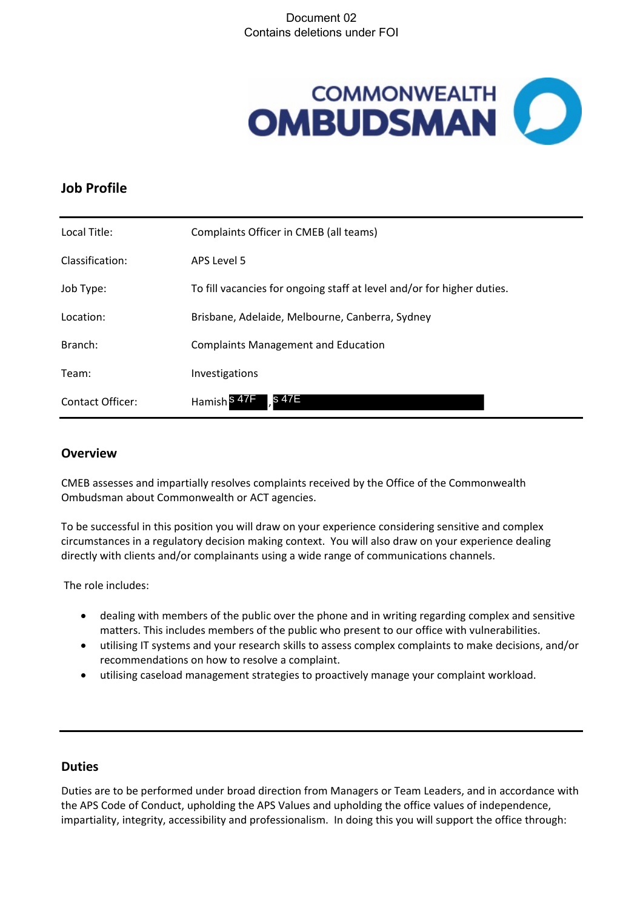## Document 02 Contains deletions under FOI



# **Job Profile**

| Local Title:     | Complaints Officer in CMEB (all teams)                                 |
|------------------|------------------------------------------------------------------------|
| Classification:  | APS Level 5                                                            |
| Job Type:        | To fill vacancies for ongoing staff at level and/or for higher duties. |
| Location:        | Brisbane, Adelaide, Melbourne, Canberra, Sydney                        |
| Branch:          | <b>Complaints Management and Education</b>                             |
| Team:            | Investigations                                                         |
| Contact Officer: | s 47E<br>Hamish <sup>S 47</sup>                                        |

#### **Overview**

CMEB assesses and impartially resolves complaints received by the Office of the Commonwealth Ombudsman about Commonwealth or ACT agencies.

To be successful in this position you will draw on your experience considering sensitive and complex circumstances in a regulatory decision making context. You will also draw on your experience dealing directly with clients and/or complainants using a wide range of communications channels.

The role includes:

- dealing with members of the public over the phone and in writing regarding complex and sensitive matters. This includes members of the public who present to our office with vulnerabilities.
- utilising IT systems and your research skills to assess complex complaints to make decisions, and/or recommendations on how to resolve a complaint.
- utilising caseload management strategies to proactively manage your complaint workload.

# **Duties**

Duties are to be performed under broad direction from Managers or Team Leaders, and in accordance with the APS Code of Conduct, upholding the APS Values and upholding the office values of independence, impartiality, integrity, accessibility and professionalism. In doing this you will support the office through: